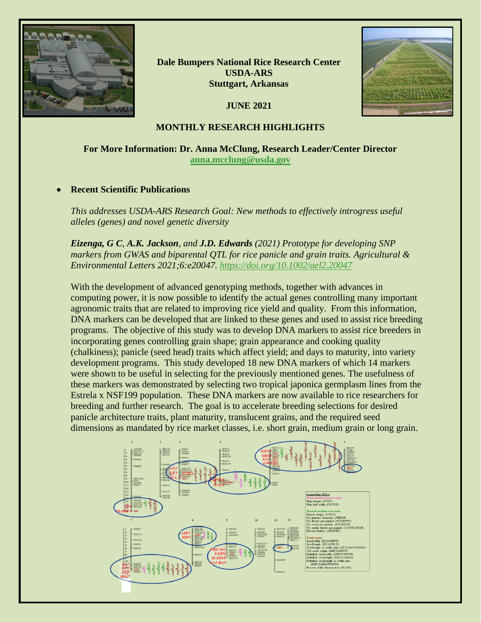

**Dale Bumpers National Rice Research Center USDA-ARS Stuttgart, Arkansas**

**JUNE 2021**



## **MONTHLY RESEARCH HIGHLIGHTS**

# **For More Information: Dr. Anna McClung, Research Leader/Center Director [anna.mcclung@usda.gov](mailto:anna.mcclung@usda.gov)**

## • **Recent Scientific Publications**

*This addresses USDA-ARS Research Goal: New methods to effectively introgress useful alleles (genes) and novel genetic diversity*

*Eizenga, G C, A.K. Jackson, and J.D. Edwards (2021) Prototype for developing SNP markers from GWAS and biparental QTL for rice panicle and grain traits. Agricultural & Environmental Letters 2021;6:e20047.<https://doi.org/10.1002/ael2.20047>*

With the development of advanced genotyping methods, together with advances in computing power, it is now possible to identify the actual genes controlling many important agronomic traits that are related to improving rice yield and quality. From this information, DNA markers can be developed that are linked to these genes and used to assist rice breeding programs. The objective of this study was to develop DNA markers to assist rice breeders in incorporating genes controlling grain shape; grain appearance and cooking quality (chalkiness); panicle (seed head) traits which affect yield; and days to maturity, into variety development programs. This study developed 18 new DNA markers of which 14 markers were shown to be useful in selecting for the previously mentioned genes. The usefulness of these markers was demonstrated by selecting two tropical japonica germplasm lines from the Estrela x NSF199 population. These DNA markers are now available to rice researchers for breeding and further research. The goal is to accelerate breeding selections for desired panicle architecture traits, plant maturity, translucent grains, and the required seed dimensions as mandated by rice market classes, i.e. short grain, medium grain or long grain.

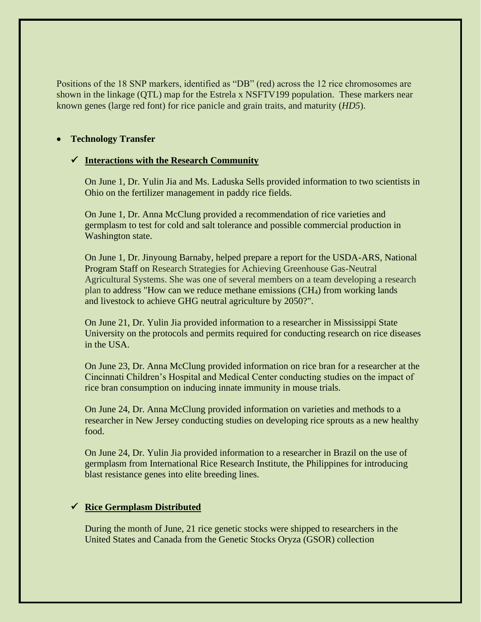Positions of the 18 SNP markers, identified as "DB" (red) across the 12 rice chromosomes are shown in the linkage (QTL) map for the Estrela x NSFTV199 population. These markers near known genes (large red font) for rice panicle and grain traits, and maturity (*HD5*).

#### • **Technology Transfer**

#### ✓ **Interactions with the Research Community**

On June 1, Dr. Yulin Jia and Ms. Laduska Sells provided information to two scientists in Ohio on the fertilizer management in paddy rice fields.

On June 1, Dr. Anna McClung provided a recommendation of rice varieties and germplasm to test for cold and salt tolerance and possible commercial production in Washington state.

On June 1, Dr. Jinyoung Barnaby, helped prepare a report for the USDA-ARS, National Program Staff on Research Strategies for Achieving Greenhouse Gas-Neutral Agricultural Systems. She was one of several members on a team developing a research plan to address "How can we reduce methane emissions (CH4) from working lands and livestock to achieve GHG neutral agriculture by 2050?".

On June 21, Dr. Yulin Jia provided information to a researcher in Mississippi State University on the protocols and permits required for conducting research on rice diseases in the USA.

On June 23, Dr. Anna McClung provided information on rice bran for a researcher at the Cincinnati Children's Hospital and Medical Center conducting studies on the impact of rice bran consumption on inducing innate immunity in mouse trials.

On June 24, Dr. Anna McClung provided information on varieties and methods to a researcher in New Jersey conducting studies on developing rice sprouts as a new healthy food.

On June 24, Dr. Yulin Jia provided information to a researcher in Brazil on the use of germplasm from International Rice Research Institute, the Philippines for introducing blast resistance genes into elite breeding lines.

## ✓ **Rice Germplasm Distributed**

During the month of June, 21 rice genetic stocks were shipped to researchers in the United States and Canada from the Genetic Stocks Oryza (GSOR) collection